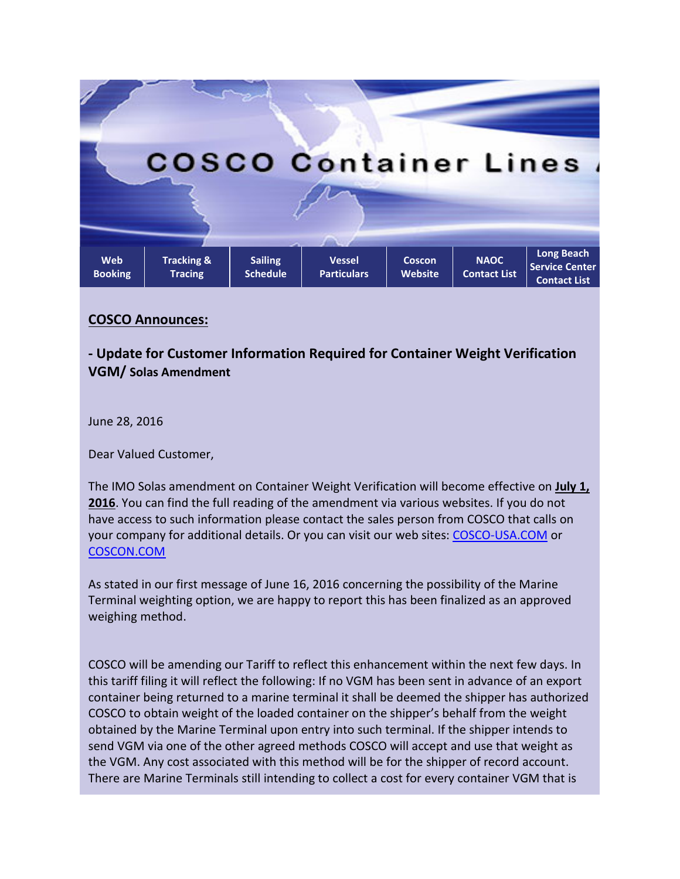

## **COSCO Announces:**

**- Update for Customer Information Required for Container Weight Verification VGM/ Solas Amendment**

June 28, 2016

Dear Valued Customer,

The IMO Solas amendment on Container Weight Verification will become effective on **July 1, 2016**. You can find the full reading of the amendment via various websites. If you do not have access to such information please contact the sales person from COSCO that calls on your company for additional details. Or you can visit our web sites: [COSCO-USA.COM](http://www.cosco-usa.com/) or [COSCON.COM](http://www.coscon.com/)

As stated in our first message of June 16, 2016 concerning the possibility of the Marine Terminal weighting option, we are happy to report this has been finalized as an approved weighing method.

COSCO will be amending our Tariff to reflect this enhancement within the next few days. In this tariff filing it will reflect the following: If no VGM has been sent in advance of an export container being returned to a marine terminal it shall be deemed the shipper has authorized COSCO to obtain weight of the loaded container on the shipper's behalf from the weight obtained by the Marine Terminal upon entry into such terminal. If the shipper intends to send VGM via one of the other agreed methods COSCO will accept and use that weight as the VGM. Any cost associated with this method will be for the shipper of record account. There are Marine Terminals still intending to collect a cost for every container VGM that is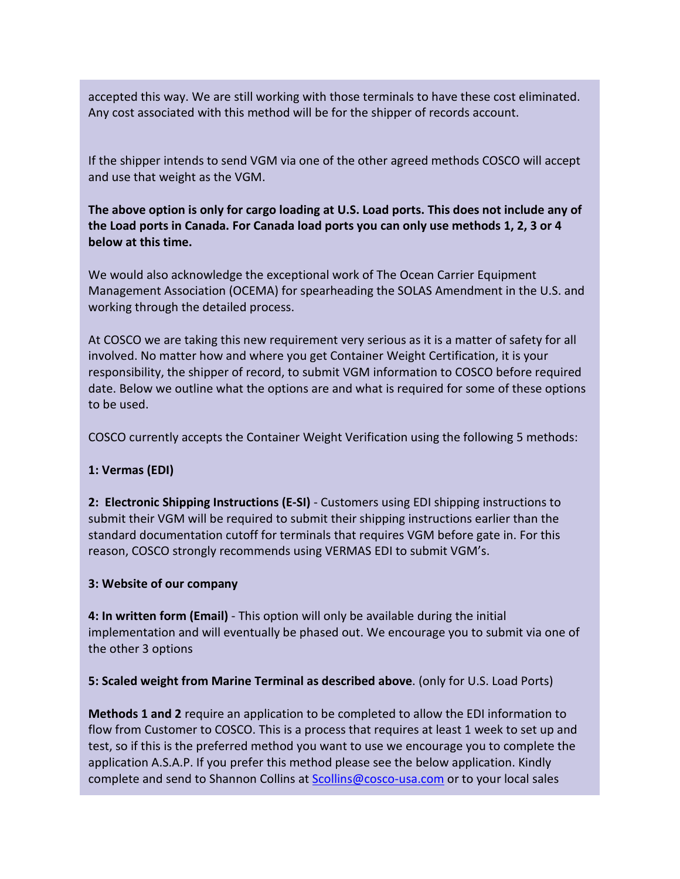accepted this way. We are still working with those terminals to have these cost eliminated. Any cost associated with this method will be for the shipper of records account.

If the shipper intends to send VGM via one of the other agreed methods COSCO will accept and use that weight as the VGM.

**The above option is only for cargo loading at U.S. Load ports. This does not include any of the Load ports in Canada. For Canada load ports you can only use methods 1, 2, 3 or 4 below at this time.**

We would also acknowledge the exceptional work of The Ocean Carrier Equipment Management Association (OCEMA) for spearheading the SOLAS Amendment in the U.S. and working through the detailed process.

At COSCO we are taking this new requirement very serious as it is a matter of safety for all involved. No matter how and where you get Container Weight Certification, it is your responsibility, the shipper of record, to submit VGM information to COSCO before required date. Below we outline what the options are and what is required for some of these options to be used.

COSCO currently accepts the Container Weight Verification using the following 5 methods:

## **1: Vermas (EDI)**

**2: Electronic Shipping Instructions (E-SI)** - Customers using EDI shipping instructions to submit their VGM will be required to submit their shipping instructions earlier than the standard documentation cutoff for terminals that requires VGM before gate in. For this reason, COSCO strongly recommends using VERMAS EDI to submit VGM's.

## **3: Website of our company**

**4: In written form (Email)** - This option will only be available during the initial implementation and will eventually be phased out. We encourage you to submit via one of the other 3 options

## **5: Scaled weight from Marine Terminal as described above**. (only for U.S. Load Ports)

**Methods 1 and 2** require an application to be completed to allow the EDI information to flow from Customer to COSCO. This is a process that requires at least 1 week to set up and test, so if this is the preferred method you want to use we encourage you to complete the application A.S.A.P. If you prefer this method please see the below application. Kindly complete and send to Shannon Collins at **Scollins@cosco-usa.com** or to your local sales